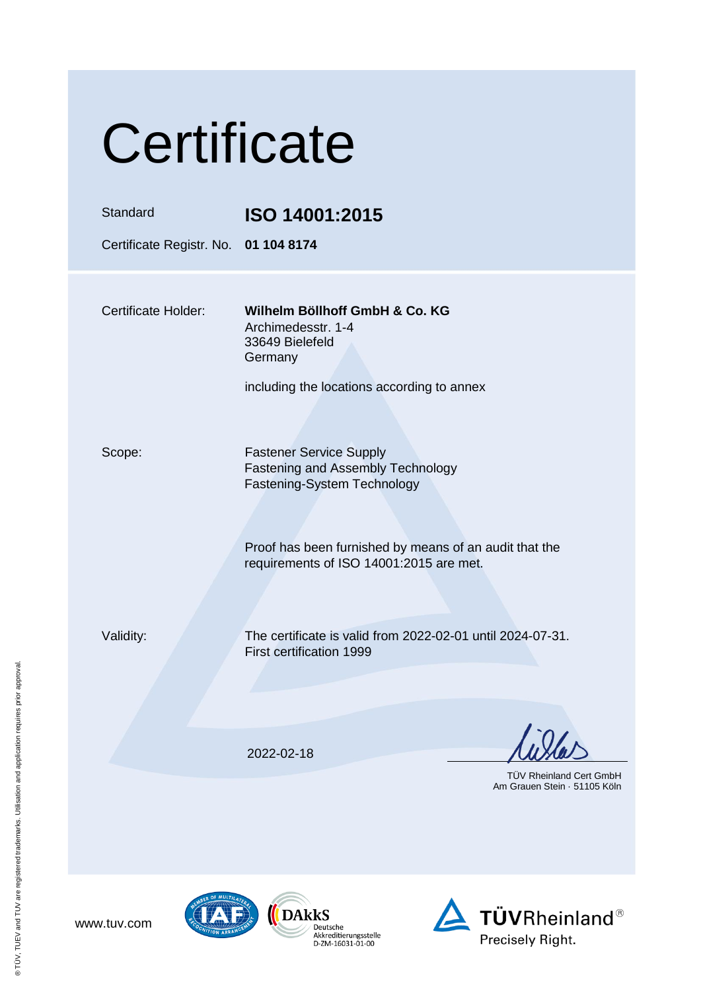| Certificate                                      |                                                                                                                                                                                                         |  |  |
|--------------------------------------------------|---------------------------------------------------------------------------------------------------------------------------------------------------------------------------------------------------------|--|--|
| Standard<br>Certificate Registr. No. 01 104 8174 | ISO 14001:2015                                                                                                                                                                                          |  |  |
| Certificate Holder:                              | Wilhelm Böllhoff GmbH & Co. KG<br>Archimedesstr. 1-4<br>33649 Bielefeld<br>Germany<br>including the locations according to annex                                                                        |  |  |
| Scope:                                           | <b>Fastener Service Supply</b><br>Fastening and Assembly Technology<br>Fastening-System Technology<br>Proof has been furnished by means of an audit that the<br>requirements of ISO 14001:2015 are met. |  |  |
| Validity:                                        | The certificate is valid from 2022-02-01 until 2024-07-31.<br>First certification 1999                                                                                                                  |  |  |
|                                                  | 2022-02-18<br><b>TÜV Rheinland Cert GmbH</b><br>Am Grauen Stein · 51105 Köln                                                                                                                            |  |  |



www.tuv.com

 $\overbrace{\left(\begin{array}{c}\begin{smallmatrix} \bullet\end{smallmatrix}\begin{smallmatrix} \bullet\end{smallmatrix}\begin{smallmatrix} \bullet\end{smallmatrix}\begin{smallmatrix} \bullet\end{smallmatrix}\begin{smallmatrix} \bullet\end{smallmatrix}\begin{smallmatrix} \bullet\end{smallmatrix}\begin{smallmatrix} \bullet\end{smallmatrix}\begin{smallmatrix} \bullet\end{smallmatrix}\begin{smallmatrix} \bullet\end{smallmatrix}\begin{smallmatrix} \bullet\end{smallmatrix}\begin{smallmatrix} \bullet\end{smallmatrix}\begin{smallmatrix} \bullet\end{smallmatrix}\begin{smallmatrix} \bullet\end{smallmatrix}\begin{smallmatrix} \bullet\end{smallmatrix}\begin{smallmatrix} \bullet\end{smallmatrix}\begin{smallmatrix} \bullet\end{smallmatrix}\$ 

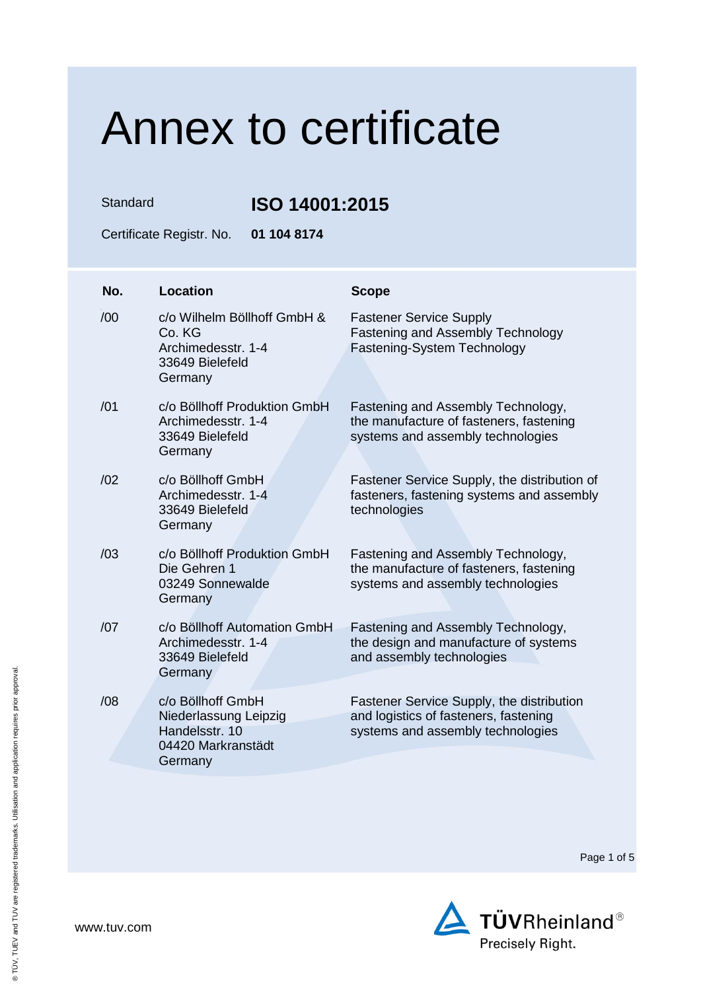Standard **ISO 14001:2015**

Certificate Registr. No. **01 104 8174**

| No. | Location                                                                                      | <b>Scope</b>                                                                                                            |
|-----|-----------------------------------------------------------------------------------------------|-------------------------------------------------------------------------------------------------------------------------|
| /00 | c/o Wilhelm Böllhoff GmbH &<br>Co. KG<br>Archimedesstr. 1-4<br>33649 Bielefeld<br>Germany     | <b>Fastener Service Supply</b><br><b>Fastening and Assembly Technology</b><br>Fastening-System Technology               |
| /01 | c/o Böllhoff Produktion GmbH<br>Archimedesstr. 1-4<br>33649 Bielefeld<br>Germany              | Fastening and Assembly Technology,<br>the manufacture of fasteners, fastening<br>systems and assembly technologies      |
| /02 | c/o Böllhoff GmbH<br>Archimedesstr. 1-4<br>33649 Bielefeld<br>Germany                         | Fastener Service Supply, the distribution of<br>fasteners, fastening systems and assembly<br>technologies               |
| /03 | c/o Böllhoff Produktion GmbH<br>Die Gehren 1<br>03249 Sonnewalde<br>Germany                   | Fastening and Assembly Technology,<br>the manufacture of fasteners, fastening<br>systems and assembly technologies      |
| /07 | c/o Böllhoff Automation GmbH<br>Archimedesstr. 1-4<br>33649 Bielefeld<br>Germany              | Fastening and Assembly Technology,<br>the design and manufacture of systems<br>and assembly technologies                |
| /08 | c/o Böllhoff GmbH<br>Niederlassung Leipzig<br>Handelsstr, 10<br>04420 Markranstädt<br>Germany | Fastener Service Supply, the distribution<br>and logistics of fasteners, fastening<br>systems and assembly technologies |

Page 1 of 5

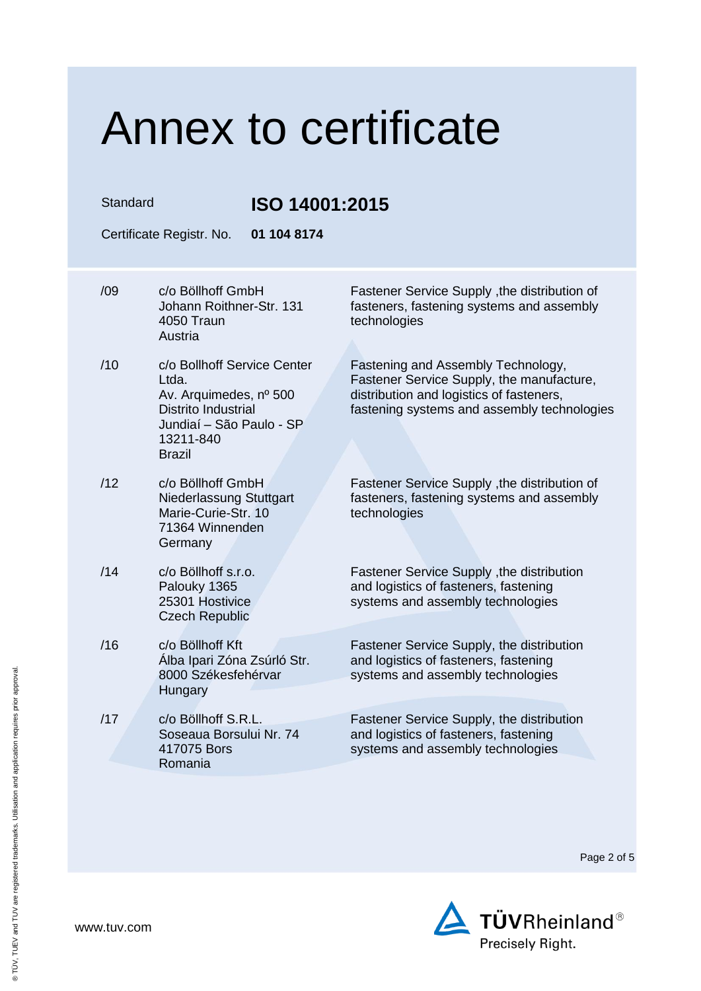| Standard |     | ISO 14001:2015                                                                                                                                         |                                                                                                                                                                            |
|----------|-----|--------------------------------------------------------------------------------------------------------------------------------------------------------|----------------------------------------------------------------------------------------------------------------------------------------------------------------------------|
|          |     | 01 104 8174<br>Certificate Registr. No.                                                                                                                |                                                                                                                                                                            |
|          | /09 | c/o Böllhoff GmbH<br>Johann Roithner-Str. 131<br>4050 Traun<br>Austria                                                                                 | Fastener Service Supply, the distribution of<br>fasteners, fastening systems and assembly<br>technologies                                                                  |
|          | /10 | c/o Bollhoff Service Center<br>Ltda.<br>Av. Arquimedes, nº 500<br><b>Distrito Industrial</b><br>Jundiaí - São Paulo - SP<br>13211-840<br><b>Brazil</b> | Fastening and Assembly Technology,<br>Fastener Service Supply, the manufacture,<br>distribution and logistics of fasteners,<br>fastening systems and assembly technologies |
|          | /12 | c/o Böllhoff GmbH<br>Niederlassung Stuttgart<br>Marie-Curie-Str. 10<br>71364 Winnenden<br>Germany                                                      | Fastener Service Supply , the distribution of<br>fasteners, fastening systems and assembly<br>technologies                                                                 |
|          | /14 | c/o Böllhoff s.r.o.<br>Palouky 1365<br>25301 Hostivice<br><b>Czech Republic</b>                                                                        | Fastener Service Supply, the distribution<br>and logistics of fasteners, fastening<br>systems and assembly technologies                                                    |
|          | /16 | c/o Böllhoff Kft<br>Álba Ipari Zóna Zsúrló Str.<br>8000 Székesfehérvar<br>Hungary                                                                      | Fastener Service Supply, the distribution<br>and logistics of fasteners, fastening<br>systems and assembly technologies                                                    |
|          | /17 | c/o Böllhoff S.R.L.<br>Soseaua Borsului Nr. 74<br>417075 Bors<br>Romania                                                                               | Fastener Service Supply, the distribution<br>and logistics of fasteners, fastening<br>systems and assembly technologies                                                    |
|          |     |                                                                                                                                                        |                                                                                                                                                                            |

Page 2 of 5

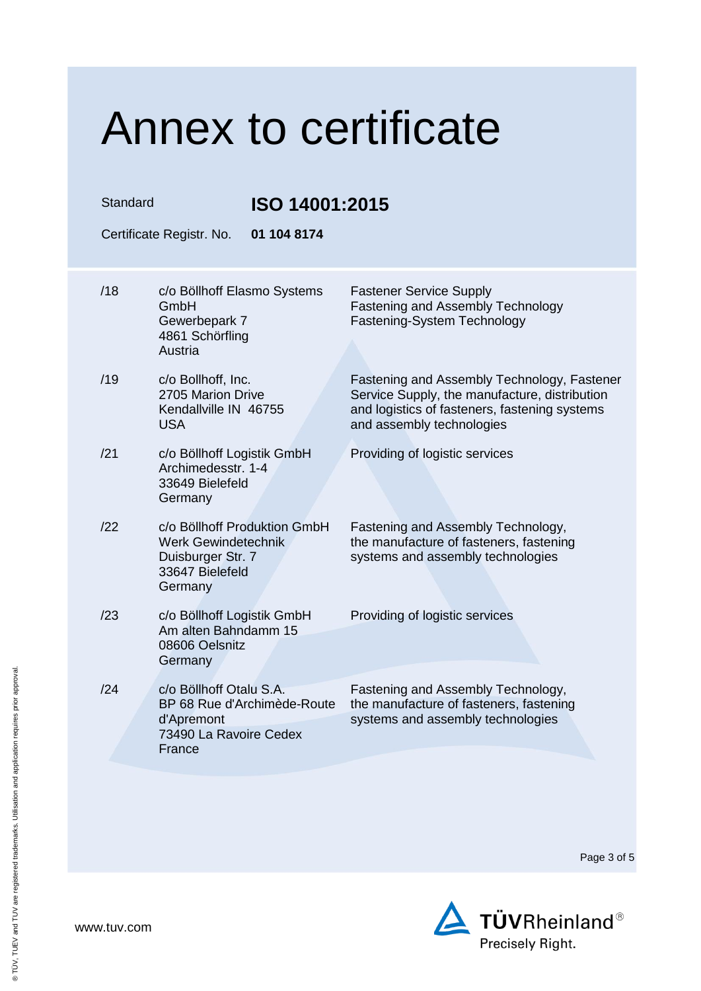| Standard                                |                                                                                                          | ISO 14001:2015                                                                                                                                                             |  |  |  |
|-----------------------------------------|----------------------------------------------------------------------------------------------------------|----------------------------------------------------------------------------------------------------------------------------------------------------------------------------|--|--|--|
| Certificate Registr. No.<br>01 104 8174 |                                                                                                          |                                                                                                                                                                            |  |  |  |
| /18                                     | c/o Böllhoff Elasmo Systems<br>GmbH<br>Gewerbepark 7<br>4861 Schörfling<br>Austria                       | <b>Fastener Service Supply</b><br><b>Fastening and Assembly Technology</b><br>Fastening-System Technology                                                                  |  |  |  |
| /19                                     | c/o Bollhoff, Inc.<br>2705 Marion Drive<br>Kendallville IN 46755<br><b>USA</b>                           | Fastening and Assembly Technology, Fastener<br>Service Supply, the manufacture, distribution<br>and logistics of fasteners, fastening systems<br>and assembly technologies |  |  |  |
| /21                                     | c/o Böllhoff Logistik GmbH<br>Archimedesstr, 1-4<br>33649 Bielefeld<br>Germany                           | Providing of logistic services                                                                                                                                             |  |  |  |
| /22                                     | c/o Böllhoff Produktion GmbH<br>Werk Gewindetechnik<br>Duisburger Str. 7<br>33647 Bielefeld<br>Germany   | Fastening and Assembly Technology,<br>the manufacture of fasteners, fastening<br>systems and assembly technologies                                                         |  |  |  |
| /23                                     | c/o Böllhoff Logistik GmbH<br>Am alten Bahndamm 15<br>08606 Oelsnitz<br>Germany                          | Providing of logistic services                                                                                                                                             |  |  |  |
| /24                                     | c/o Böllhoff Otalu S.A.<br>BP 68 Rue d'Archimède-Route<br>d'Apremont<br>73490 La Ravoire Cedex<br>France | Fastening and Assembly Technology,<br>the manufacture of fasteners, fastening<br>systems and assembly technologies                                                         |  |  |  |

Page 3 of 5

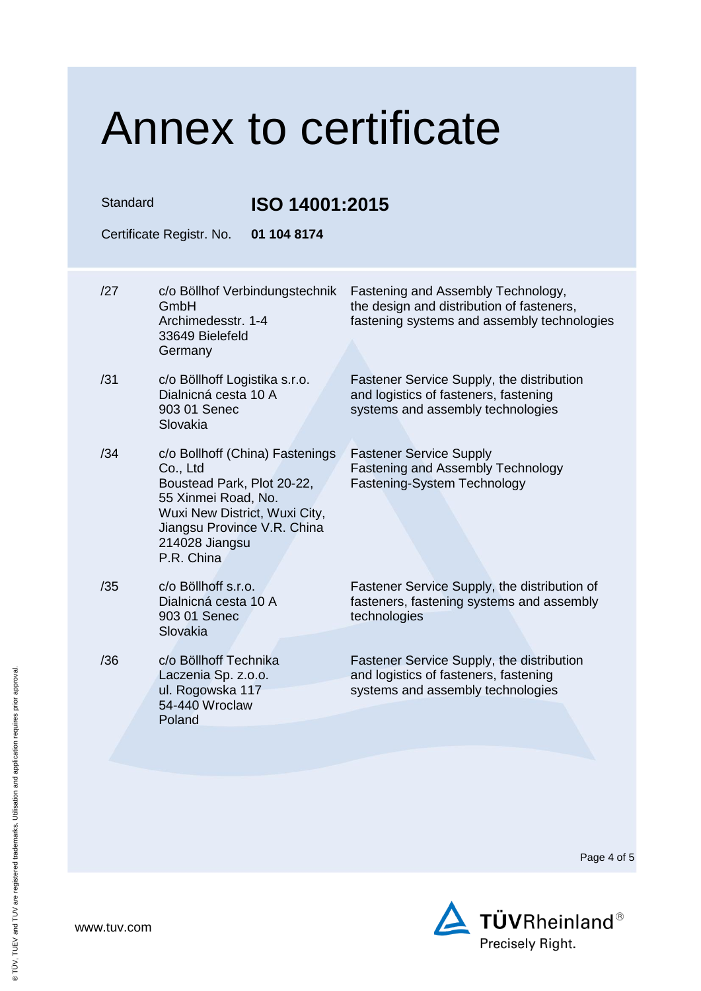| Standard |                                                                                                                                                                                                  | ISO 14001:2015                                                                                                                 |  |  |
|----------|--------------------------------------------------------------------------------------------------------------------------------------------------------------------------------------------------|--------------------------------------------------------------------------------------------------------------------------------|--|--|
|          | 01 104 8174<br>Certificate Registr. No.                                                                                                                                                          |                                                                                                                                |  |  |
| /27      | c/o Böllhof Verbindungstechnik<br>GmbH<br>Archimedesstr. 1-4<br>33649 Bielefeld<br>Germany                                                                                                       | Fastening and Assembly Technology,<br>the design and distribution of fasteners,<br>fastening systems and assembly technologies |  |  |
| /31      | c/o Böllhoff Logistika s.r.o.<br>Dialnicná cesta 10 A<br>903 01 Senec<br>Slovakia                                                                                                                | Fastener Service Supply, the distribution<br>and logistics of fasteners, fastening<br>systems and assembly technologies        |  |  |
| /34      | c/o Bollhoff (China) Fastenings<br>Co., Ltd<br>Boustead Park, Plot 20-22,<br>55 Xinmei Road, No.<br>Wuxi New District, Wuxi City,<br>Jiangsu Province V.R. China<br>214028 Jiangsu<br>P.R. China | <b>Fastener Service Supply</b><br><b>Fastening and Assembly Technology</b><br>Fastening-System Technology                      |  |  |
| /35      | c/o Böllhoff s.r.o.<br>Dialnicná cesta 10 A<br>903 01 Senec<br>Slovakia                                                                                                                          | Fastener Service Supply, the distribution of<br>fasteners, fastening systems and assembly<br>technologies                      |  |  |
| /36      | c/o Böllhoff Technika<br>Laczenia Sp. z.o.o.<br>ul. Rogowska 117<br>54-440 Wroclaw<br>Poland                                                                                                     | Fastener Service Supply, the distribution<br>and logistics of fasteners, fastening<br>systems and assembly technologies        |  |  |

Page 4 of 5